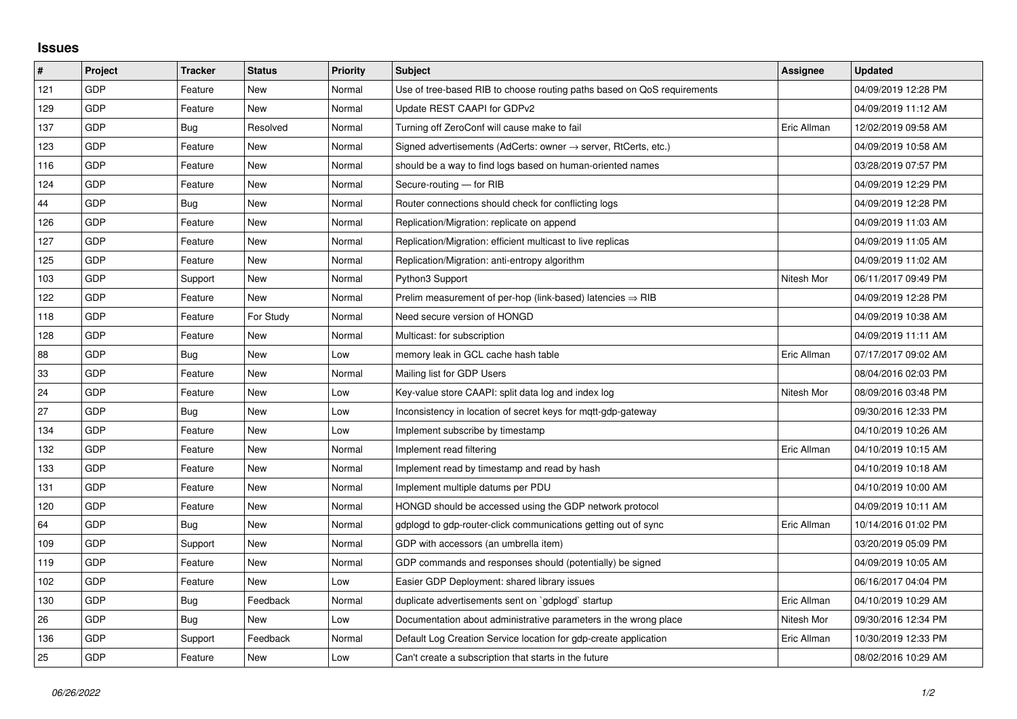## **Issues**

| #   | Project    | <b>Tracker</b> | <b>Status</b> | <b>Priority</b> | <b>Subject</b>                                                             | Assignee    | <b>Updated</b>      |
|-----|------------|----------------|---------------|-----------------|----------------------------------------------------------------------------|-------------|---------------------|
| 121 | GDP        | Feature        | New           | Normal          | Use of tree-based RIB to choose routing paths based on QoS requirements    |             | 04/09/2019 12:28 PM |
| 129 | GDP        | Feature        | <b>New</b>    | Normal          | Update REST CAAPI for GDPv2                                                |             | 04/09/2019 11:12 AM |
| 137 | <b>GDP</b> | Bug            | Resolved      | Normal          | Turning off ZeroConf will cause make to fail                               | Eric Allman | 12/02/2019 09:58 AM |
| 123 | GDP        | Feature        | <b>New</b>    | Normal          | Signed advertisements (AdCerts: owner $\rightarrow$ server, RtCerts, etc.) |             | 04/09/2019 10:58 AM |
| 116 | GDP        | Feature        | <b>New</b>    | Normal          | should be a way to find logs based on human-oriented names                 |             | 03/28/2019 07:57 PM |
| 124 | GDP        | Feature        | <b>New</b>    | Normal          | Secure-routing — for RIB                                                   |             | 04/09/2019 12:29 PM |
| 44  | GDP        | Bug            | <b>New</b>    | Normal          | Router connections should check for conflicting logs                       |             | 04/09/2019 12:28 PM |
| 126 | GDP        | Feature        | <b>New</b>    | Normal          | Replication/Migration: replicate on append                                 |             | 04/09/2019 11:03 AM |
| 127 | GDP        | Feature        | <b>New</b>    | Normal          | Replication/Migration: efficient multicast to live replicas                |             | 04/09/2019 11:05 AM |
| 125 | GDP        | Feature        | <b>New</b>    | Normal          | Replication/Migration: anti-entropy algorithm                              |             | 04/09/2019 11:02 AM |
| 103 | GDP        | Support        | <b>New</b>    | Normal          | Python3 Support                                                            | Nitesh Mor  | 06/11/2017 09:49 PM |
| 122 | GDP        | Feature        | <b>New</b>    | Normal          | Prelim measurement of per-hop (link-based) latencies $\Rightarrow$ RIB     |             | 04/09/2019 12:28 PM |
| 118 | GDP        | Feature        | For Study     | Normal          | Need secure version of HONGD                                               |             | 04/09/2019 10:38 AM |
| 128 | GDP        | Feature        | New           | Normal          | Multicast: for subscription                                                |             | 04/09/2019 11:11 AM |
| 88  | GDP        | Bug            | New           | Low             | memory leak in GCL cache hash table                                        | Eric Allman | 07/17/2017 09:02 AM |
| 33  | <b>GDP</b> | Feature        | <b>New</b>    | Normal          | Mailing list for GDP Users                                                 |             | 08/04/2016 02:03 PM |
| 24  | GDP        | Feature        | <b>New</b>    | Low             | Key-value store CAAPI: split data log and index log                        | Nitesh Mor  | 08/09/2016 03:48 PM |
| 27  | GDP        | Bug            | <b>New</b>    | Low             | Inconsistency in location of secret keys for mgtt-gdp-gateway              |             | 09/30/2016 12:33 PM |
| 134 | GDP        | Feature        | <b>New</b>    | Low             | Implement subscribe by timestamp                                           |             | 04/10/2019 10:26 AM |
| 132 | GDP        | Feature        | <b>New</b>    | Normal          | Implement read filtering                                                   | Eric Allman | 04/10/2019 10:15 AM |
| 133 | GDP        | Feature        | New           | Normal          | Implement read by timestamp and read by hash                               |             | 04/10/2019 10:18 AM |
| 131 | GDP        | Feature        | <b>New</b>    | Normal          | Implement multiple datums per PDU                                          |             | 04/10/2019 10:00 AM |
| 120 | GDP        | Feature        | New           | Normal          | HONGD should be accessed using the GDP network protocol                    |             | 04/09/2019 10:11 AM |
| 64  | GDP        | Bug            | <b>New</b>    | Normal          | gdplogd to gdp-router-click communications getting out of sync             | Eric Allman | 10/14/2016 01:02 PM |
| 109 | GDP        | Support        | <b>New</b>    | Normal          | GDP with accessors (an umbrella item)                                      |             | 03/20/2019 05:09 PM |
| 119 | GDP        | Feature        | <b>New</b>    | Normal          | GDP commands and responses should (potentially) be signed                  |             | 04/09/2019 10:05 AM |
| 102 | GDP        | Feature        | <b>New</b>    | Low             | Easier GDP Deployment: shared library issues                               |             | 06/16/2017 04:04 PM |
| 130 | GDP        | <b>Bug</b>     | Feedback      | Normal          | duplicate advertisements sent on `gdplogd` startup                         | Eric Allman | 04/10/2019 10:29 AM |
| 26  | GDP        | Bug            | <b>New</b>    | Low             | Documentation about administrative parameters in the wrong place           | Nitesh Mor  | 09/30/2016 12:34 PM |
| 136 | GDP        | Support        | Feedback      | Normal          | Default Log Creation Service location for gdp-create application           | Eric Allman | 10/30/2019 12:33 PM |
| 25  | GDP        | Feature        | New           | Low             | Can't create a subscription that starts in the future                      |             | 08/02/2016 10:29 AM |